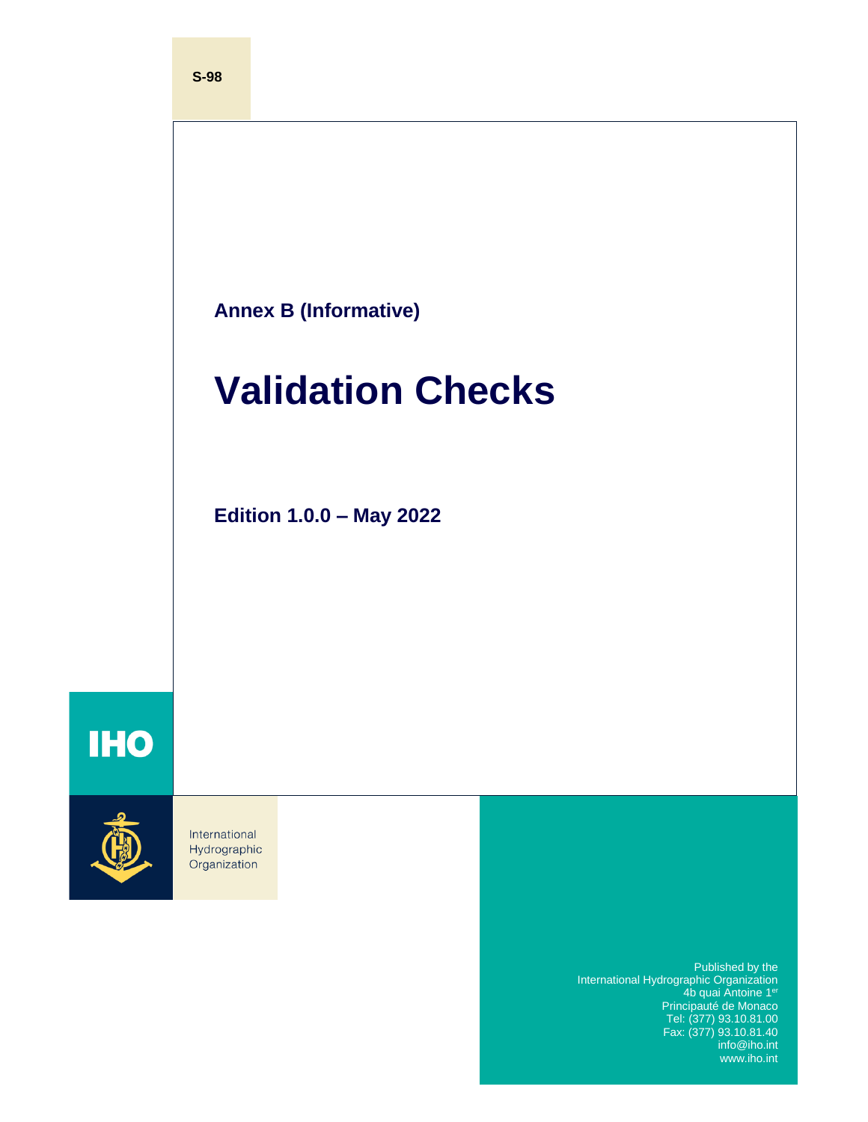**Annex B (Informative)**

# **Validation Checks**

**Edition 1.0.0 – May 2022**





International Hydrographic Organization

> Published by the International Hydrographic Organization 4b quai Antoine 1<sup>er</sup> Principauté de Monaco Tel: (377) 93.10.81.00 Fax: (377) 93.10.81.40 info@iho.int www.iho.int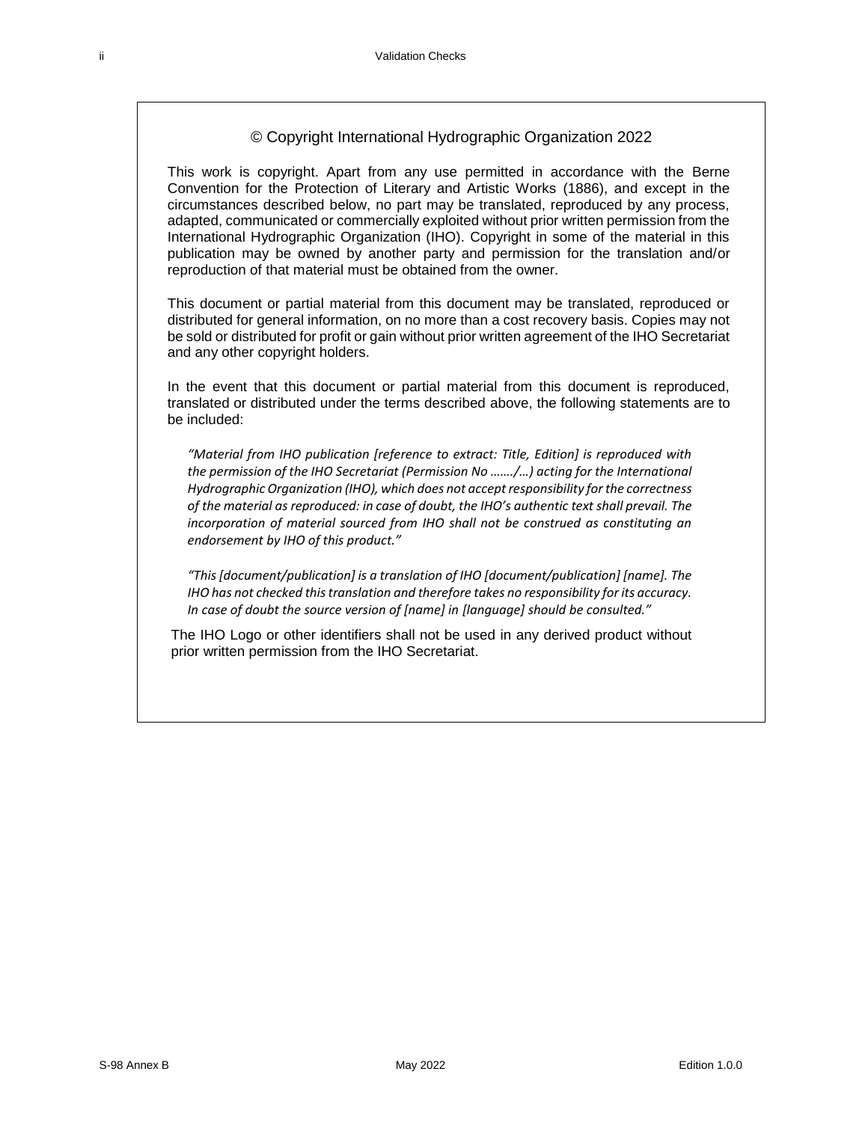#### © Copyright International Hydrographic Organization 2022

This work is copyright. Apart from any use permitted in accordance with the [Berne](http://www.wipo.int/treaties/en/ip/berne/trtdocs_wo001.html)  [Convention for the Protection of Literary and Artistic Works](http://www.wipo.int/treaties/en/ip/berne/trtdocs_wo001.html) (1886), and except in the circumstances described below, no part may be translated, reproduced by any process, adapted, communicated or commercially exploited without prior written permission from the International Hydrographic Organization (IHO). Copyright in some of the material in this publication may be owned by another party and permission for the translation and/or reproduction of that material must be obtained from the owner.

This document or partial material from this document may be translated, reproduced or distributed for general information, on no more than a cost recovery basis. Copies may not be sold or distributed for profit or gain without prior written agreement of the IHO Secretariat and any other copyright holders.

In the event that this document or partial material from this document is reproduced, translated or distributed under the terms described above, the following statements are to be included:

*"Material from IHO publication [reference to extract: Title, Edition] is reproduced with the permission of the IHO Secretariat (Permission No ……./…) acting for the International Hydrographic Organization (IHO), which does not accept responsibility for the correctness of the material as reproduced: in case of doubt, the IHO's authentic text shall prevail. The incorporation of material sourced from IHO shall not be construed as constituting an endorsement by IHO of this product."* 

*"This [document/publication] is a translation of IHO [document/publication] [name]. The IHO has not checked this translation and therefore takes no responsibility for its accuracy. In case of doubt the source version of [name] in [language] should be consulted."*

The IHO Logo or other identifiers shall not be used in any derived product without prior written permission from the IHO Secretariat.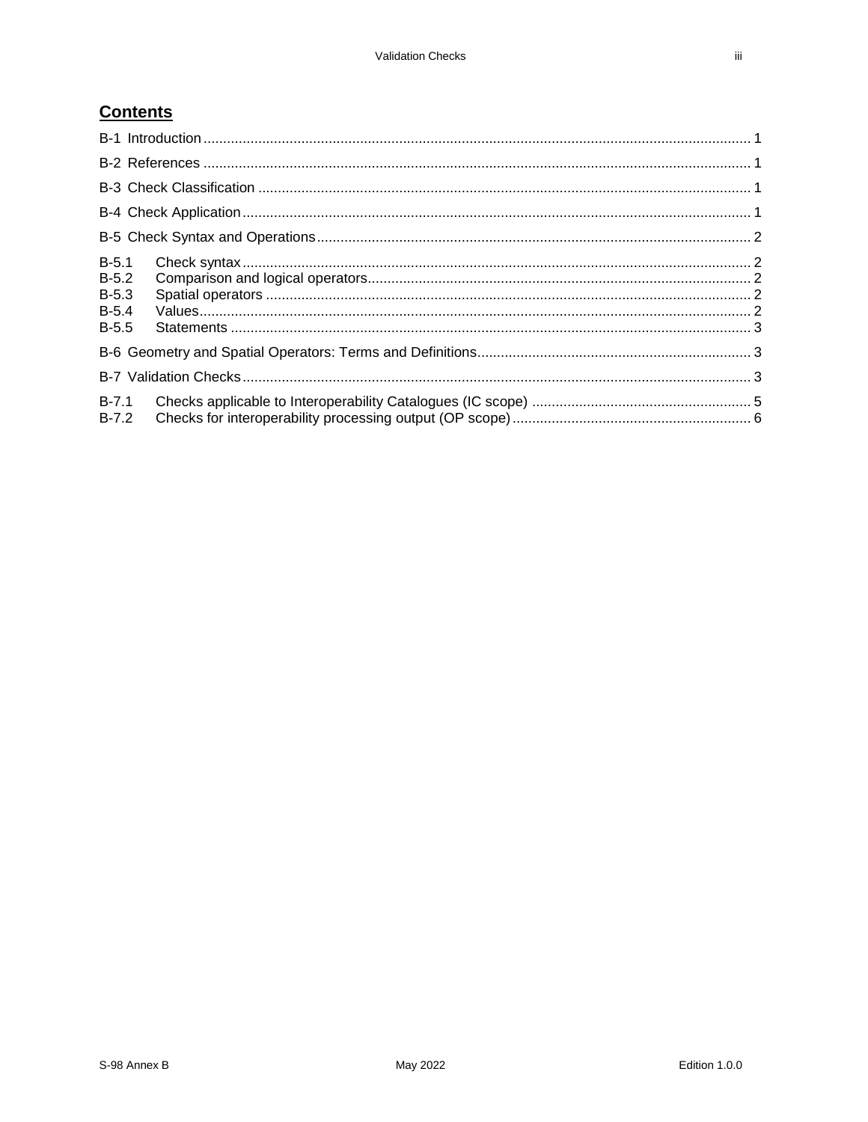# **Contents**

| $B-5.1$<br>$B-5.2$<br>$B-5.3$<br>$B-5.4$<br>$B-5.5$ |  |
|-----------------------------------------------------|--|
|                                                     |  |
|                                                     |  |
| $B-7.1$<br>B-7.2                                    |  |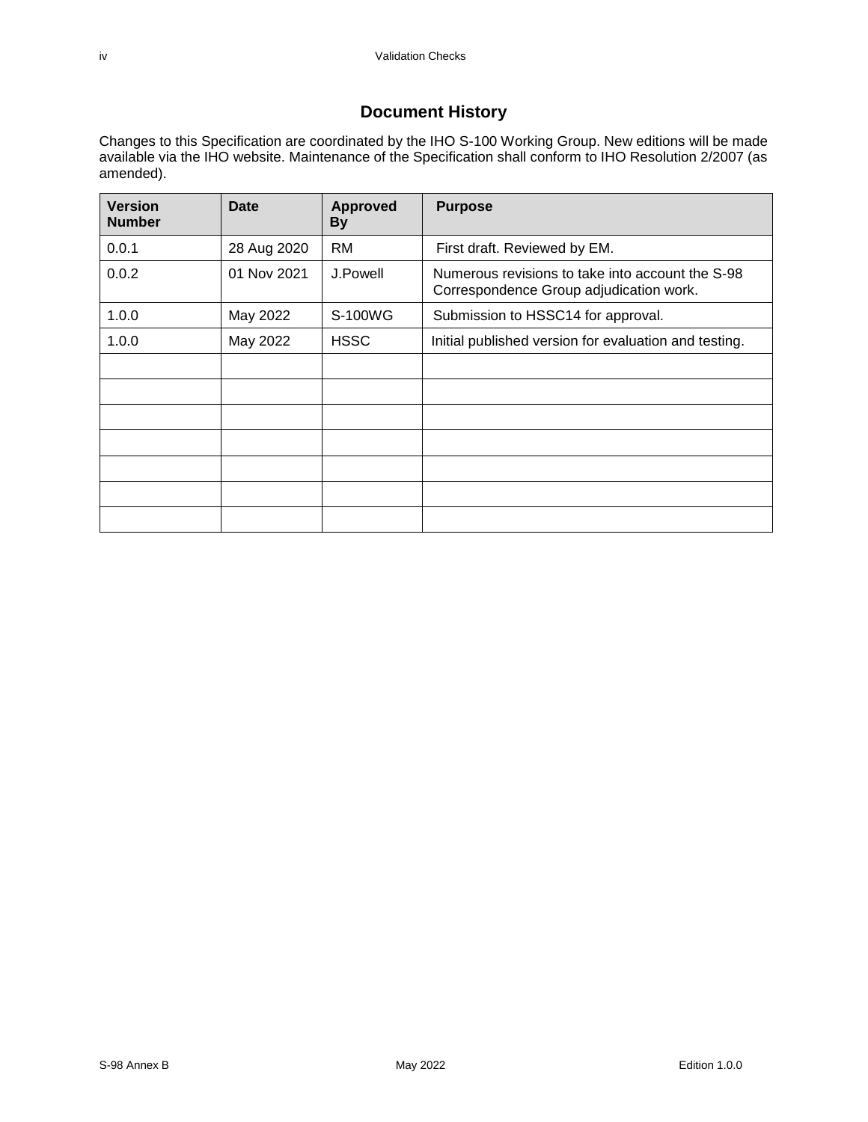# **Document History**

Changes to this Specification are coordinated by the IHO S-100 Working Group. New editions will be made available via the IHO website. Maintenance of the Specification shall conform to IHO Resolution 2/2007 (as amended).

| <b>Version</b><br><b>Number</b> | Date        | <b>Approved</b><br><b>By</b> | <b>Purpose</b>                                                                              |
|---------------------------------|-------------|------------------------------|---------------------------------------------------------------------------------------------|
| 0.0.1                           | 28 Aug 2020 | <b>RM</b>                    | First draft. Reviewed by EM.                                                                |
| 0.0.2                           | 01 Nov 2021 | J.Powell                     | Numerous revisions to take into account the S-98<br>Correspondence Group adjudication work. |
| 1.0.0                           | May 2022    | S-100WG                      | Submission to HSSC14 for approval.                                                          |
| 1.0.0                           | May 2022    | <b>HSSC</b>                  | Initial published version for evaluation and testing.                                       |
|                                 |             |                              |                                                                                             |
|                                 |             |                              |                                                                                             |
|                                 |             |                              |                                                                                             |
|                                 |             |                              |                                                                                             |
|                                 |             |                              |                                                                                             |
|                                 |             |                              |                                                                                             |
|                                 |             |                              |                                                                                             |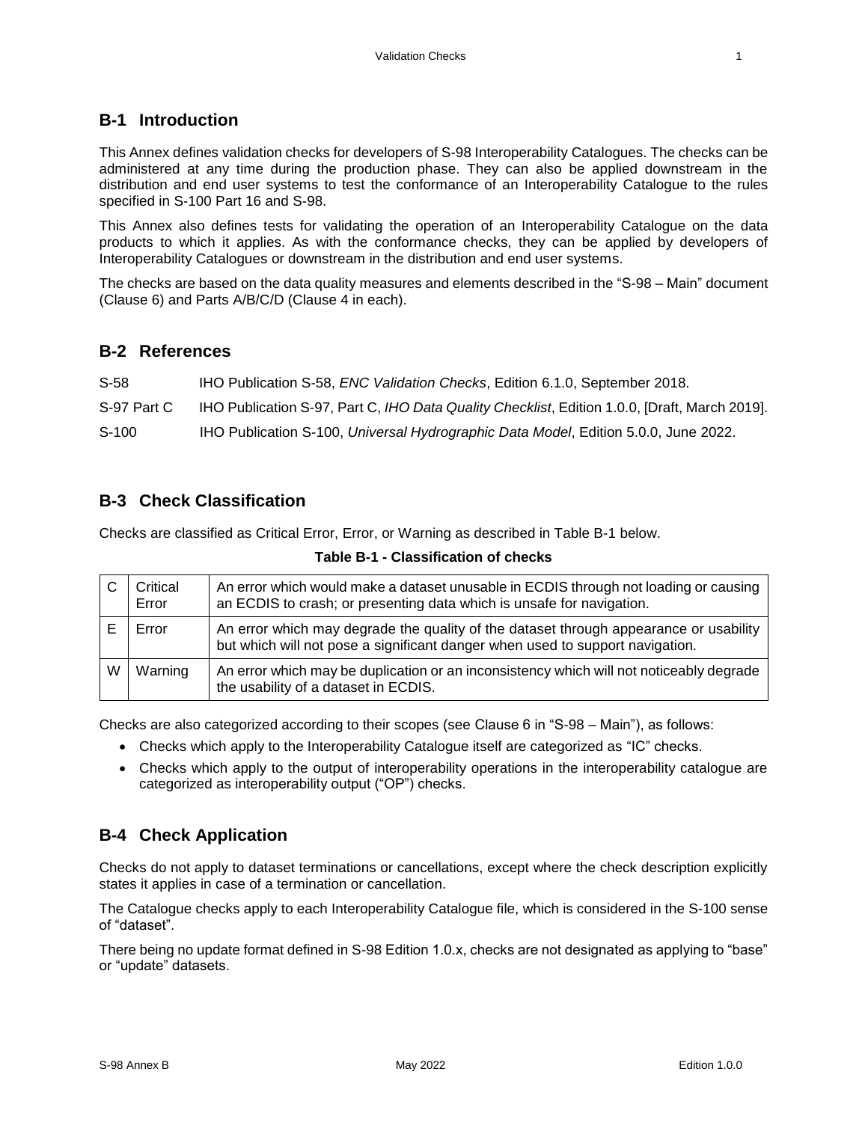### <span id="page-4-0"></span>**B-1 Introduction**

This Annex defines validation checks for developers of S-98 Interoperability Catalogues. The checks can be administered at any time during the production phase. They can also be applied downstream in the distribution and end user systems to test the conformance of an Interoperability Catalogue to the rules specified in S-100 Part 16 and S-98.

This Annex also defines tests for validating the operation of an Interoperability Catalogue on the data products to which it applies. As with the conformance checks, they can be applied by developers of Interoperability Catalogues or downstream in the distribution and end user systems.

The checks are based on the data quality measures and elements described in the "S-98 – Main" document (Clause 6) and Parts A/B/C/D (Clause 4 in each).

#### <span id="page-4-1"></span>**B-2 References**

| $S-58$      | IHO Publication S-58, ENC Validation Checks, Edition 6.1.0, September 2018.                   |
|-------------|-----------------------------------------------------------------------------------------------|
| S-97 Part C | IHO Publication S-97, Part C, IHO Data Quality Checklist, Edition 1.0.0, [Draft, March 2019]. |
| $S-100$     | IHO Publication S-100, Universal Hydrographic Data Model, Edition 5.0.0, June 2022.           |

## <span id="page-4-2"></span>**B-3 Check Classification**

Checks are classified as Critical Error, Error, or Warning as described in Table B-1 below.

**Table B-1 - Classification of checks**

|   | Critical<br>Error | An error which would make a dataset unusable in ECDIS through not loading or causing<br>an ECDIS to crash; or presenting data which is unsafe for navigation.          |
|---|-------------------|------------------------------------------------------------------------------------------------------------------------------------------------------------------------|
|   | Error             | An error which may degrade the quality of the dataset through appearance or usability<br>but which will not pose a significant danger when used to support navigation. |
| W | Warning           | An error which may be duplication or an inconsistency which will not noticeably degrade<br>the usability of a dataset in ECDIS.                                        |

Checks are also categorized according to their scopes (see Clause 6 in "S-98 – Main"), as follows:

- Checks which apply to the Interoperability Catalogue itself are categorized as "IC" checks.
- Checks which apply to the output of interoperability operations in the interoperability catalogue are categorized as interoperability output ("OP") checks.

# <span id="page-4-3"></span>**B-4 Check Application**

Checks do not apply to dataset terminations or cancellations, except where the check description explicitly states it applies in case of a termination or cancellation.

The Catalogue checks apply to each Interoperability Catalogue file, which is considered in the S-100 sense of "dataset".

There being no update format defined in S-98 Edition 1.0.x, checks are not designated as applying to "base" or "update" datasets.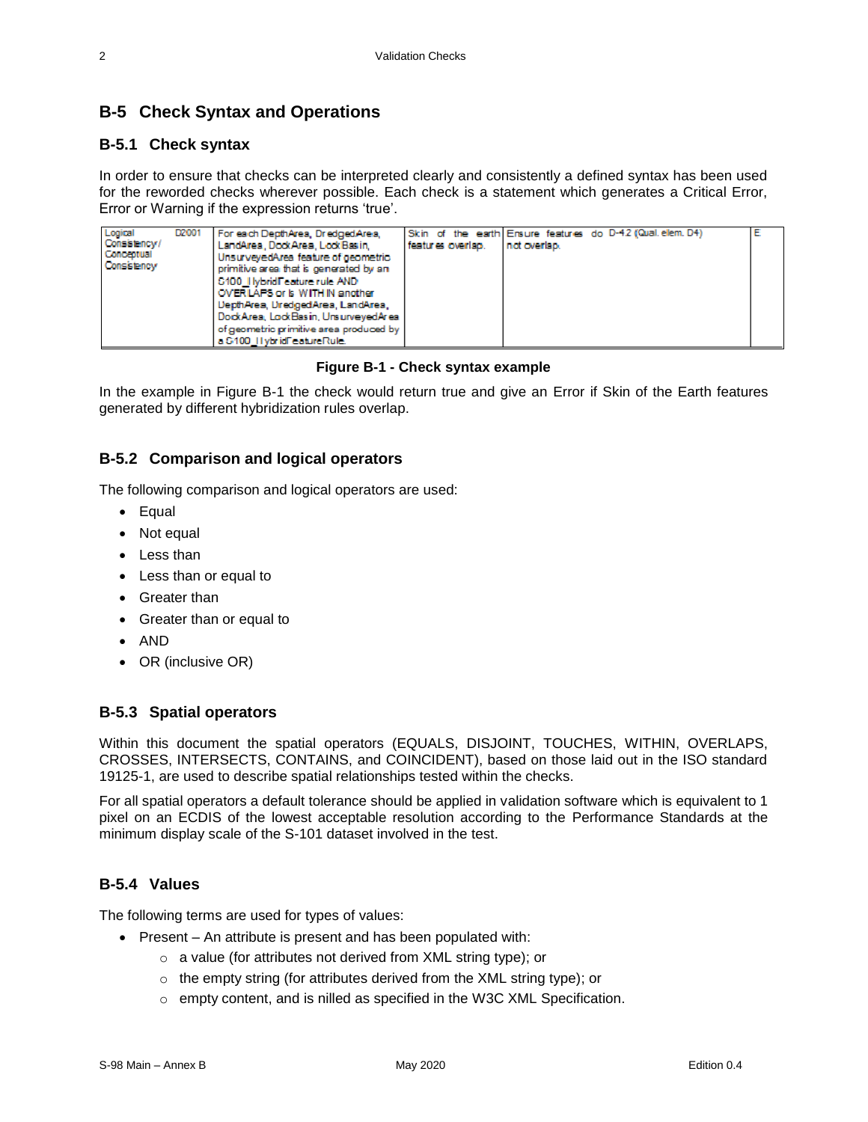## <span id="page-5-0"></span>**B-5 Check Syntax and Operations**

#### <span id="page-5-1"></span>**B-5.1 Check syntax**

In order to ensure that checks can be interpreted clearly and consistently a defined syntax has been used for the reworded checks wherever possible. Each check is a statement which generates a Critical Error, Error or Warning if the expression returns 'true'.

| Logical<br>D2/001<br>For each DepthArea, DredgedArea,<br>Consistency/<br>LandArea, DockArea, LockBasin,<br>Conceptual<br>UnsurveyedArea feature of geometric<br>Consistency<br>primitive area that is generated by an<br>S100 HybridTeature rule AND<br>OVERLAPS or Is WITHIN another<br>DepthArea, DredgedArea, LandArea,<br>DockArea, LockBasin, UnsurveyedArea<br>of geometric primitive area produced by<br>a S100 HivbridFeatureRule. | Skin of the earth Ensure features do D-42 (Qual elem D4)<br>features overlap.<br>not overlap. |
|--------------------------------------------------------------------------------------------------------------------------------------------------------------------------------------------------------------------------------------------------------------------------------------------------------------------------------------------------------------------------------------------------------------------------------------------|-----------------------------------------------------------------------------------------------|
|--------------------------------------------------------------------------------------------------------------------------------------------------------------------------------------------------------------------------------------------------------------------------------------------------------------------------------------------------------------------------------------------------------------------------------------------|-----------------------------------------------------------------------------------------------|

#### **Figure B-1 - Check syntax example**

In the example in Figure B-1 the check would return true and give an Error if Skin of the Earth features generated by different hybridization rules overlap.

#### <span id="page-5-2"></span>**B-5.2 Comparison and logical operators**

The following comparison and logical operators are used:

- Equal
- Not equal
- Less than
- Less than or equal to
- Greater than
- Greater than or equal to
- AND
- OR (inclusive OR)

#### <span id="page-5-3"></span>**B-5.3 Spatial operators**

Within this document the spatial operators (EQUALS, DISJOINT, TOUCHES, WITHIN, OVERLAPS, CROSSES, INTERSECTS, CONTAINS, and COINCIDENT), based on those laid out in the ISO standard 19125-1, are used to describe spatial relationships tested within the checks.

For all spatial operators a default tolerance should be applied in validation software which is equivalent to 1 pixel on an ECDIS of the lowest acceptable resolution according to the Performance Standards at the minimum display scale of the S-101 dataset involved in the test.

#### <span id="page-5-4"></span>**B-5.4 Values**

The following terms are used for types of values:

- Present An attribute is present and has been populated with:
	- o a value (for attributes not derived from XML string type); or
	- o the empty string (for attributes derived from the XML string type); or
	- o empty content, and is nilled as specified in the W3C XML Specification.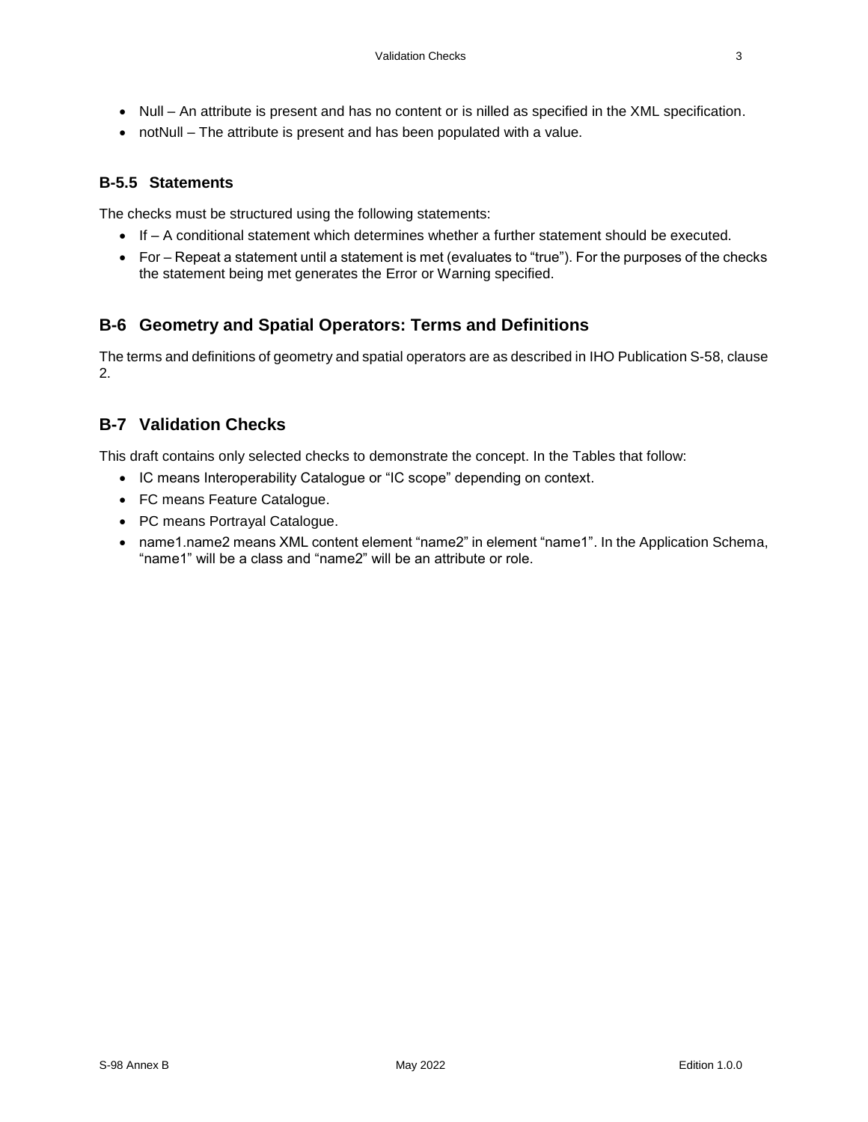- Null An attribute is present and has no content or is nilled as specified in the XML specification.
- notNull The attribute is present and has been populated with a value.

#### <span id="page-6-0"></span>**B-5.5 Statements**

The checks must be structured using the following statements:

- If A conditional statement which determines whether a further statement should be executed.
- For Repeat a statement until a statement is met (evaluates to "true"). For the purposes of the checks the statement being met generates the Error or Warning specified.

#### <span id="page-6-1"></span>**B-6 Geometry and Spatial Operators: Terms and Definitions**

The terms and definitions of geometry and spatial operators are as described in IHO Publication S-58, clause 2.

#### <span id="page-6-2"></span>**B-7 Validation Checks**

This draft contains only selected checks to demonstrate the concept. In the Tables that follow:

- IC means Interoperability Catalogue or "IC scope" depending on context.
- FC means Feature Catalogue.
- PC means Portrayal Catalogue.
- name1.name2 means XML content element "name2" in element "name1". In the Application Schema, "name1" will be a class and "name2" will be an attribute or role.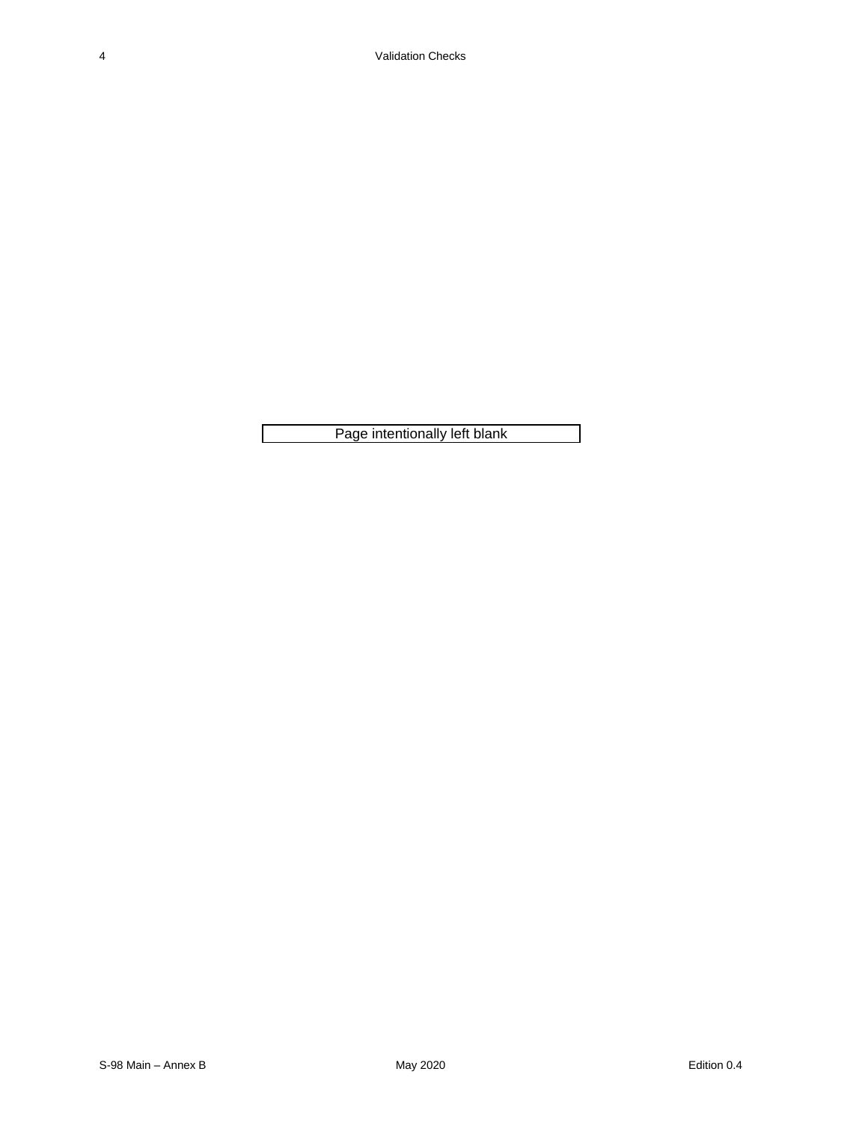Page intentionally left blank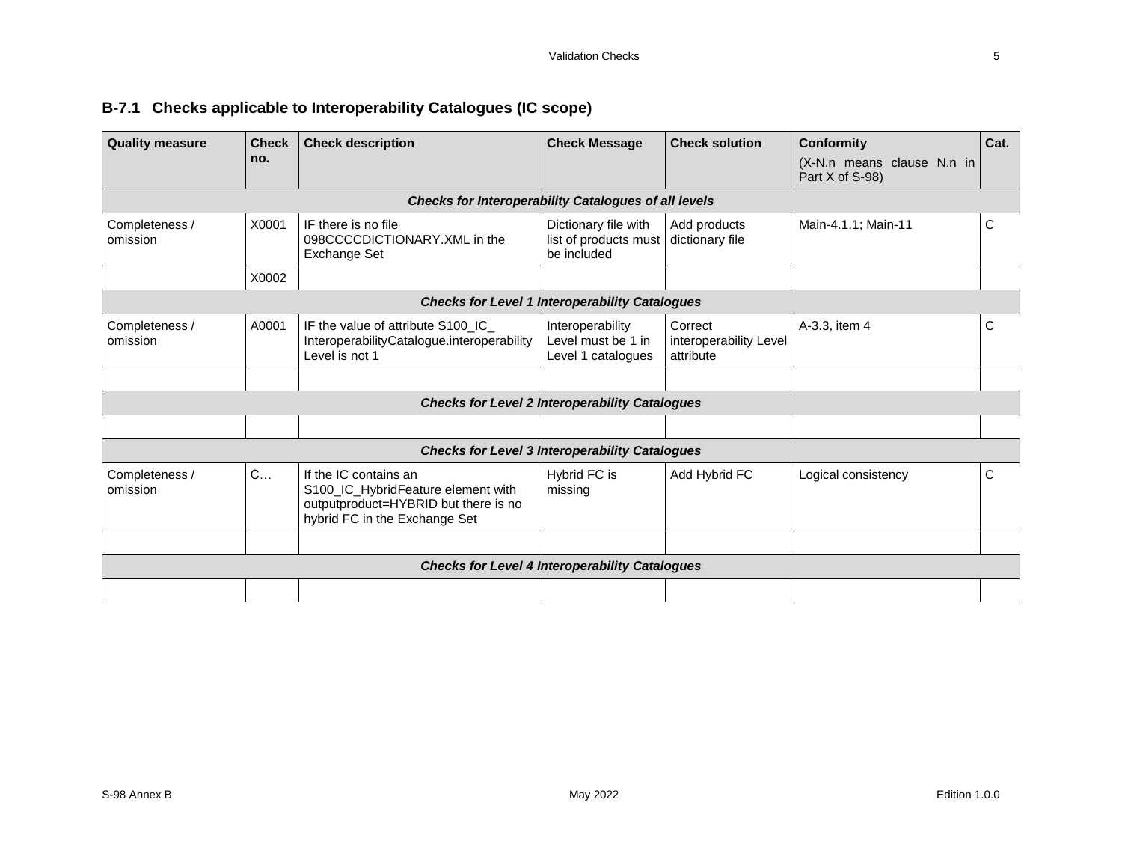# **B-7.1 Checks applicable to Interoperability Catalogues (IC scope)**

<span id="page-8-0"></span>

| <b>Quality measure</b>                                | <b>Check</b>                                          | <b>Check description</b>                                                                                                             | <b>Check Message</b>                                         | <b>Check solution</b>                          | <b>Conformity</b>                             | Cat.         |  |
|-------------------------------------------------------|-------------------------------------------------------|--------------------------------------------------------------------------------------------------------------------------------------|--------------------------------------------------------------|------------------------------------------------|-----------------------------------------------|--------------|--|
|                                                       | no.                                                   |                                                                                                                                      |                                                              |                                                | (X-N.n means clause N.n in<br>Part X of S-98) |              |  |
|                                                       |                                                       | <b>Checks for Interoperability Catalogues of all levels</b>                                                                          |                                                              |                                                |                                               |              |  |
| Completeness /<br>omission                            | X0001                                                 | IF there is no file<br>098CCCCDICTIONARY.XML in the<br><b>Exchange Set</b>                                                           | Dictionary file with<br>list of products must<br>be included | Add products<br>dictionary file                | Main-4.1.1; Main-11                           | C            |  |
|                                                       | X0002                                                 |                                                                                                                                      |                                                              |                                                |                                               |              |  |
|                                                       |                                                       |                                                                                                                                      | <b>Checks for Level 1 Interoperability Catalogues</b>        |                                                |                                               |              |  |
| Completeness /<br>omission                            | A0001                                                 | IF the value of attribute S100_IC_<br>InteroperabilityCatalogue.interoperability<br>Level is not 1                                   | Interoperability<br>Level must be 1 in<br>Level 1 catalogues | Correct<br>interoperability Level<br>attribute | A-3.3, item 4                                 | $\mathsf{C}$ |  |
|                                                       |                                                       |                                                                                                                                      |                                                              |                                                |                                               |              |  |
|                                                       | <b>Checks for Level 2 Interoperability Catalogues</b> |                                                                                                                                      |                                                              |                                                |                                               |              |  |
|                                                       |                                                       |                                                                                                                                      |                                                              |                                                |                                               |              |  |
|                                                       |                                                       |                                                                                                                                      | <b>Checks for Level 3 Interoperability Catalogues</b>        |                                                |                                               |              |  |
| Completeness /<br>omission                            | C                                                     | If the IC contains an<br>S100_IC_HybridFeature element with<br>outputproduct=HYBRID but there is no<br>hybrid FC in the Exchange Set | Hybrid FC is<br>missing                                      | Add Hybrid FC                                  | Logical consistency                           | $\mathsf{C}$ |  |
|                                                       |                                                       |                                                                                                                                      |                                                              |                                                |                                               |              |  |
| <b>Checks for Level 4 Interoperability Catalogues</b> |                                                       |                                                                                                                                      |                                                              |                                                |                                               |              |  |
|                                                       |                                                       |                                                                                                                                      |                                                              |                                                |                                               |              |  |